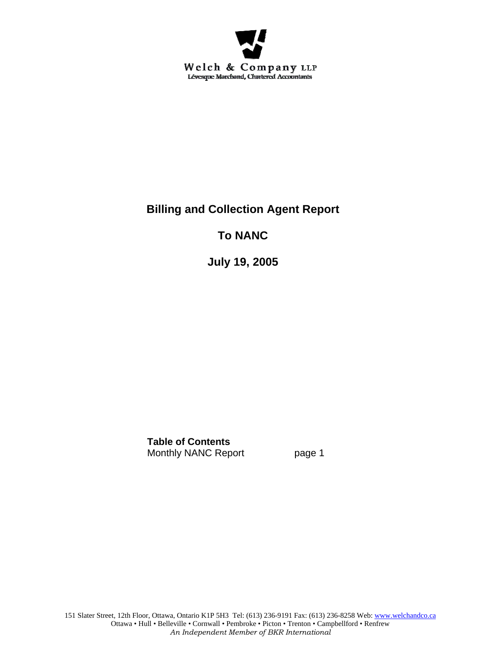

# **Billing and Collection Agent Report**

## **To NANC**

**July 19, 2005** 

**Table of Contents** Monthly NANC Report page 1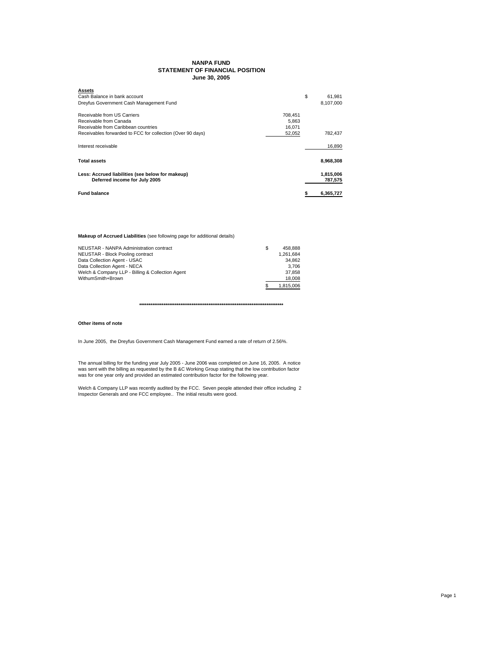### **NANPA FUND STATEMENT OF FINANCIAL POSITION June 30, 2005**

| <b>Assets</b>                                              |         |           |
|------------------------------------------------------------|---------|-----------|
| Cash Balance in bank account                               | \$      | 61.981    |
| Dreyfus Government Cash Management Fund                    |         | 8,107,000 |
| Receivable from US Carriers                                | 708.451 |           |
| Receivable from Canada                                     | 5.863   |           |
| Receivable from Caribbean countries                        | 16.071  |           |
| Receivables forwarded to FCC for collection (Over 90 days) | 52,052  | 782,437   |
| Interest receivable                                        |         | 16,890    |
| Total assets                                               |         | 8,968,308 |
| Less: Accrued liabilities (see below for makeup)           |         | 1,815,006 |
| Deferred income for July 2005                              |         | 787,575   |
| <b>Fund balance</b>                                        |         | 6.365.727 |

**Makeup of Accrued Liabilities** (see following page for additional details)

| NEUSTAR - NANPA Administration contract          | 458.888   |
|--------------------------------------------------|-----------|
| NEUSTAR - Block Pooling contract                 | 1.261.684 |
| Data Collection Agent - USAC                     | 34.862    |
| Data Collection Agent - NECA                     | 3.706     |
| Welch & Company LLP - Billing & Collection Agent | 37.858    |
| WithumSmith+Brown                                | 18,008    |
|                                                  | 1.815.006 |

**\*\*\*\*\*\*\*\*\*\*\*\*\*\*\*\*\*\*\*\*\*\*\*\*\*\*\*\*\*\*\*\*\*\*\*\*\*\*\*\*\*\*\*\*\*\*\*\*\*\*\*\*\*\*\*\*\*\*\*\*\*\*\*\*\*\*\*\*\*\*\*\*\*\*\*\*\***

#### **Other items of note**

In June 2005, the Dreyfus Government Cash Management Fund earned a rate of return of 2.56%.

The annual billing for the funding year July 2005 - June 2006 was completed on June 16, 2005. A notice<br>was sent with the billing as requested by the B &C Working Group stating that the low contribution factor<br>was for one

Welch & Company LLP was recently audited by the FCC. Seven people attended their office including 2 Inspector Generals and one FCC employee.. The initial results were good.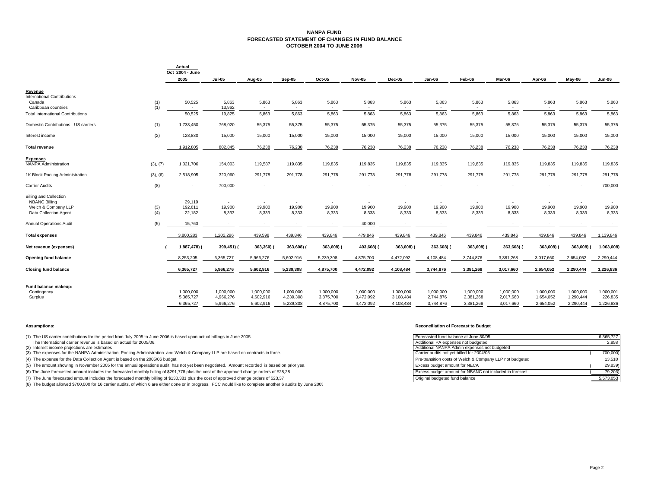#### **NANPA FUND FORECASTED STATEMENT OF CHANGES IN FUND BALANCEOCTOBER 2004 TO JUNE 2006**

|                                              |            | Actual<br>Oct 2004 - June |                        |                        |                        |                                    |                        |                        |                        |                        |                        |                        |                        |                      |
|----------------------------------------------|------------|---------------------------|------------------------|------------------------|------------------------|------------------------------------|------------------------|------------------------|------------------------|------------------------|------------------------|------------------------|------------------------|----------------------|
|                                              |            | 2005                      | <b>Jul-05</b>          | Aug-05                 | Sep-05                 | Oct-05                             | Nov-05                 | <b>Dec-05</b>          | Jan-06                 | Feb-06                 | Mar-06                 | Apr-06                 | May-06                 | Jun-06               |
| Revenue                                      |            |                           |                        |                        |                        |                                    |                        |                        |                        |                        |                        |                        |                        |                      |
| <b>International Contributions</b><br>Canada | (1)        | 50,525                    | 5,863                  | 5,863                  | 5,863                  | 5,863                              | 5,863                  | 5,863                  | 5,863                  | 5,863                  | 5,863                  | 5,863                  | 5,863                  | 5,863                |
| Caribbean countries                          | (1)        |                           | 13,962                 | $\sim$                 | $\sim$                 | $\sim$                             | $\sim$                 |                        | $\sim$                 | ٠                      | <b>.</b>               |                        | $\sim$                 | ٠                    |
| <b>Total International Contributions</b>     |            | 50,525                    | 19,825                 | 5,863                  | 5,863                  | 5,863                              | 5,863                  | 5,863                  | 5,863                  | 5,863                  | 5,863                  | 5,863                  | 5,863                  | 5,863                |
| Domestic Contributions - US carriers         | (1)        | 1,733,450                 | 768,020                | 55,375                 | 55,375                 | 55,375                             | 55,375                 | 55,375                 | 55,375                 | 55,375                 | 55,375                 | 55,375                 | 55,375                 | 55,375               |
| Interest income                              | (2)        | 128,830                   | 15,000                 | 15,000                 | 15,000                 | 15,000                             | 15,000                 | 15,000                 | 15,000                 | 15,000                 | 15,000                 | 15,000                 | 15,000                 | 15,000               |
| <b>Total revenue</b>                         |            | 1,912,805                 | 802,845                | 76,238                 | 76,238                 | 76,238                             | 76,238                 | 76,238                 | 76,238                 | 76,238                 | 76,238                 | 76,238                 | 76,238                 | 76,238               |
| <b>Expenses</b>                              |            |                           |                        |                        |                        |                                    |                        |                        |                        |                        |                        |                        |                        |                      |
| <b>NANPA Administration</b>                  | (3), (7)   | 1,021,706                 | 154,003                | 119,587                | 119,835                | 119,835                            | 119,835                | 119,835                | 119,835                | 119,835                | 119,835                | 119,835                | 119,835                | 119,835              |
| 1K Block Pooling Administration              | (3), (6)   | 2,518,905                 | 320,060                | 291,778                | 291,778                | 291,778                            | 291,778                | 291,778                | 291,778                | 291,778                | 291,778                | 291,778                | 291,778                | 291,778              |
| <b>Carrier Audits</b>                        | (8)        |                           | 700,000                | $\sim$                 |                        |                                    |                        |                        |                        |                        |                        |                        | $\sim$                 | 700,000              |
| <b>Billing and Collection</b>                |            |                           |                        |                        |                        |                                    |                        |                        |                        |                        |                        |                        |                        |                      |
| <b>NBANC Billing</b><br>Welch & Company LLP  |            | 29,119<br>192,611         | $\sim$<br>19,900       | $\sim$<br>19,900       | $\sim$<br>19,900       | $\overline{\phantom{a}}$<br>19,900 | $\sim$<br>19,900       | $\sim$<br>19,900       | $\sim$<br>19,900       | $\sim$<br>19,900       | <b>.</b><br>19,900     | $\sim$<br>19,900       | $\sim$<br>19,900       | ٠<br>19,900          |
| Data Collection Agent                        | (3)<br>(4) | 22,182                    | 8,333                  | 8,333                  | 8,333                  | 8,333                              | 8,333                  | 8,333                  | 8,333                  | 8,333                  | 8,333                  | 8,333                  | 8,333                  | 8,333                |
| <b>Annual Operations Audit</b>               | (5)        | 15,760                    | $\sim$                 |                        | $\sim$                 | $\sim$                             | 40,000                 |                        | $\sim$                 |                        |                        |                        |                        |                      |
|                                              |            |                           |                        |                        |                        |                                    |                        |                        |                        |                        |                        |                        |                        |                      |
| <b>Total expenses</b>                        |            | 3,800,283                 | 1,202,296              | 439,598                | 439,846                | 439,846                            | 479,846                | 439,846                | 439,846                | 439,846                | 439,846                | 439,846                | 439,846                | 1,139,846            |
| Net revenue (expenses)                       |            | 1,887,478) (              | 399,451) (             | 363,360) (             | 363,608) (             | 363,608) (                         | 403,608) (             | 363,608) (             | 363,608) (             | 363,608)               | 363,608) (             | 363,608)               | 363,608) (             | 1,063,608)           |
| <b>Opening fund balance</b>                  |            | 8,253,205                 | 6,365,727              | 5,966,276              | 5,602,916              | 5,239,308                          | 4,875,700              | 4,472,092              | 4,108,484              | 3,744,876              | 3,381,268              | 3,017,660              | 2,654,052              | 2,290,444            |
| <b>Closing fund balance</b>                  |            | 6,365,727                 | 5,966,276              | 5,602,916              | 5,239,308              | 4,875,700                          | 4,472,092              | 4,108,484              | 3,744,876              | 3,381,268              | 3,017,660              | 2,654,052              | 2,290,444              | 1,226,836            |
|                                              |            |                           |                        |                        |                        |                                    |                        |                        |                        |                        |                        |                        |                        |                      |
| Fund balance makeup:                         |            |                           |                        |                        |                        |                                    |                        |                        |                        |                        |                        |                        |                        |                      |
| Contingency<br>Surplus                       |            | 1,000,000<br>5,365,727    | 1,000,000<br>4,966,276 | 1,000,000<br>4,602,916 | 1,000,000<br>4,239,308 | 1,000,000<br>3,875,700             | 1,000,000<br>3,472,092 | 1,000,000<br>3,108,484 | 1,000,000<br>2,744,876 | 1,000,000<br>2,381,268 | 1,000,000<br>2,017,660 | 1,000,000<br>1,654,052 | 1,000,000<br>1,290,444 | 1,000,001<br>226,835 |
|                                              |            | 6,365,727                 | 5,966,276              | 5,602,916              | 5,239,308              | 4,875,700                          | 4,472,092              | 4,108,484              | 3,744,876              | 3,381,268              | 3,017,660              | 2,654,052              | 2,290,444              | 1,226,836            |
|                                              |            |                           |                        |                        |                        |                                    |                        |                        |                        |                        |                        |                        |                        |                      |

(1) The US carrier contributions for the period from July 2005 to June 2006 is based upon actual billings in June 2005.

(8) The budget allowed \$700,000 for 16 carrier audits, of which 6 are either done or in progress. FCC would like to complete another 6 audits by June 2005

#### **Assumptions: Reconciliation of Forecast to Budget**

| (1) The US carrier contributions for the period from July 2005 to June 2006 is based upon actual billings in June 2005.                    | Forecasted fund balance at June 30/05                    | 6.365.727 |
|--------------------------------------------------------------------------------------------------------------------------------------------|----------------------------------------------------------|-----------|
| The International carrier revenue is based on actual for 2005/06.                                                                          | Additional PA expenses not budgeted                      | 2.858     |
| (2) Interest income projections are estimates                                                                                              | Additional NANPA Admin expenses not budgeted             |           |
| (3) The expenses for the NANPA Administration, Pooling Administration and Welch & Company LLP are based on contracts in force.             | Carrier audits not vet billed for 2004/05                | 700.000)  |
| (4) The expense for the Data Collection Agent is based on the 2005/06 budget.                                                              | Pre-transition costs of Welch & Company LLP not budgeted | 13.510    |
| (5) The amount showing in November 2005 for the annual operations audit has not yet been negotiated. Amount recorded is based on prior yea | Excess budget amount for NECA                            | 29,839)   |
| (6) The June forecasted amount includes the forecasted monthly billing of \$291,778 plus the cost of the approved change orders of \$28,28 | Excess budget amount for NBANC not included in forecast  | 79.203)   |
| (7) The June forecasted amount includes the forecasted monthly billing of \$130,381 plus the cost of approved change orders of \$23,37     | Original budgeted fund balance                           | 5,573,053 |